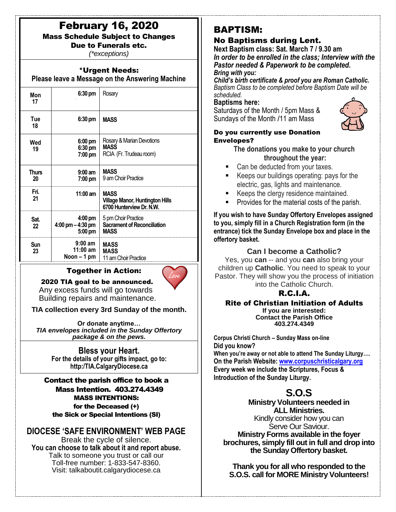# February 16, 2020

Mass Schedule Subject to Changes

Due to Funerals etc. *(\*exceptions)*

## \*Urgent Needs:

**Please leave a Message on the Answering Machine**

| Mon<br>17   | 6:30 pm                                                             | Rosary                                                                            |
|-------------|---------------------------------------------------------------------|-----------------------------------------------------------------------------------|
| Tue<br>18   | $6:30 \text{ pm}$                                                   | <b>MASS</b>                                                                       |
| Wed<br>19   | 6:00 pm<br>6:30 pm<br>7:00 pm                                       | Rosary & Marian Devotions<br><b>MASS</b><br>RCIA (Fr. Trudeau room)               |
| Thurs<br>20 | $9:00$ am<br>7:00 pm                                                | <b>MASS</b><br>9 am Choir Practice                                                |
| Fri.<br>21  | $11:00$ am                                                          | <b>MASS</b><br><b>Village Manor, Huntington Hills</b><br>6700 Hunterview Dr. N.W. |
| Sat.<br>22  | $4:00 \text{ pm}$<br>$4:00 \text{ pm} - 4:30 \text{ pm}$<br>5:00 pm | 5 pm Choir Practice<br><b>Sacrament of Reconciliation</b><br><b>MASS</b>          |
| Sun<br>23   | $9:00$ am<br>$11:00$ am<br>Noon – 1 pm                              | <b>MASS</b><br><b>MASS</b><br>11 am Choir Practice                                |

# Together in Action:



 2020 TIA goal to be announced. Any excess funds will go towards Building repairs and maintenance.

**TIA collection every 3rd Sunday of the month.**

**Or donate anytime…** *TIA envelopes included in the Sunday Offertory package & on the pews.*

### **Bless your Heart.**

**For the details of your gifts impact, go to: http:/TIA.CalgaryDiocese.ca**

### Contact the parish office to book a Mass Intention. 403.274.4349 MASS INTENTIONS: for the Deceased (+) the Sick or Special Intentions (SI)

# **DIOCESE 'SAFE ENVIRONMENT' WEB PAGE**

Break the cycle of silence. **You can choose to talk about it and report abuse.** Talk to someone you trust or call our Toll-free number: 1-833-547-8360. Visit: talkaboutit.calgarydiocese.ca

# BAPTISM:

# No Baptisms during Lent.

**Next Baptism class: Sat. March 7 / 9.30 am** *In order to be enrolled in the class; Interview with the Pastor needed & Paperwork to be completed. Bring with you:*

*Child's birth certificate & proof you are Roman Catholic. Baptism Class to be completed before Baptism Date will be scheduled.*

### **Baptisms here:**

Saturdays of the Month / 5pm Mass & Sundays of the Month /11 am Mass



### Do you currently use Donation Envelopes?

**The donations you make to your church throughout the year:**

- Can be deducted from your taxes.
- Keeps our buildings operating: pays for the electric, gas, lights and maintenance.
- Keeps the clergy residence maintained.
- Provides for the material costs of the parish.

**If you wish to have Sunday Offertory Envelopes assigned to you, simply fill in a Church Registration form (in the entrance) tick the Sunday Envelope box and place in the offertory basket.**

# **Can I become a Catholic?**

Yes, you **can** -- and you **can** also bring your children up **Catholic**. You need to speak to your Pastor. They will show you the process of initiation into the Catholic Church.

# R.C.I.A.

#### Rite of Christian Initiation of Adults **If you are interested: Contact the Parish Office 403.274.4349**

**Corpus Christi Church – Sunday Mass on-line Did you know? When you're away or not able to attend The Sunday Liturgy…. On the Parish Website: [www.corpuschristicalgary.org](http://www.corpuschristicalgary.org/) Every week we include the Scriptures, Focus & Introduction of the Sunday Liturgy.**

# **S.O.S**

**Ministry Volunteers needed in ALL Ministries.** Kindly consider how you can Serve Our Saviour. **Ministry Forms available in the foyer brochures, simply fill out in full and drop into the Sunday Offertory basket.**

**Thank you for all who responded to the S.O.S. call for MORE Ministry Volunteers!**